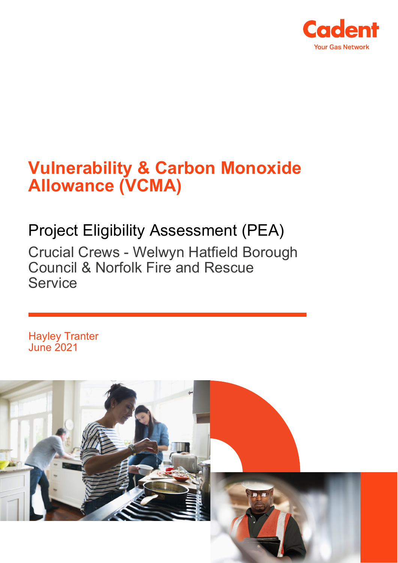

# **Vulnerability & Carbon Monoxide Allowance (VCMA)**

## Project Eligibility Assessment (PEA)

Crucial Crews - Welwyn Hatfield Borough Council & Norfolk Fire and Rescue **Service** 

Hayley Tranter June 2021

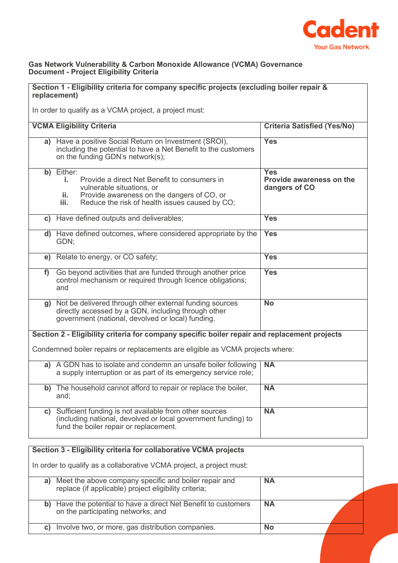

### **Gas Network Vulnerability & Carbon Monoxide Allowance (VCMA) Governance Document - Project Eligibility Criteria**

| Section 1 - Eligibility criteria for company specific projects (excluding boiler repair &<br>replacement) |                                                                                                                                                                                                              |                                                         |  |  |
|-----------------------------------------------------------------------------------------------------------|--------------------------------------------------------------------------------------------------------------------------------------------------------------------------------------------------------------|---------------------------------------------------------|--|--|
| In order to qualify as a VCMA project, a project must:                                                    |                                                                                                                                                                                                              |                                                         |  |  |
| <b>VCMA Eligibility Criteria</b><br><b>Criteria Satisfied (Yes/No)</b>                                    |                                                                                                                                                                                                              |                                                         |  |  |
|                                                                                                           | a) Have a positive Social Return on Investment (SROI),<br>including the potential to have a Net Benefit to the customers<br>on the funding GDN's network(s);                                                 | <b>Yes</b>                                              |  |  |
|                                                                                                           | b) Either:<br>Provide a direct Net Benefit to consumers in<br>Ĺ.<br>vulnerable situations, or<br>Provide awareness on the dangers of CO, or<br>ii.<br>Reduce the risk of health issues caused by CO;<br>iii. | <b>Yes</b><br>Provide awareness on the<br>dangers of CO |  |  |
|                                                                                                           | c) Have defined outputs and deliverables;                                                                                                                                                                    | <b>Yes</b>                                              |  |  |
|                                                                                                           | d) Have defined outcomes, where considered appropriate by the<br>GDN;                                                                                                                                        | <b>Yes</b>                                              |  |  |
|                                                                                                           | e) Relate to energy, or CO safety;                                                                                                                                                                           | <b>Yes</b>                                              |  |  |
| f)                                                                                                        | Go beyond activities that are funded through another price<br>control mechanism or required through licence obligations;<br>and                                                                              | <b>Yes</b>                                              |  |  |
|                                                                                                           | g) Not be delivered through other external funding sources<br>directly accessed by a GDN, including through other<br>government (national, devolved or local) funding.                                       | <b>No</b>                                               |  |  |
| Section 2 - Eligibility criteria for company specific boiler repair and replacement projects              |                                                                                                                                                                                                              |                                                         |  |  |
| Condemned boiler repairs or replacements are eligible as VCMA projects where:                             |                                                                                                                                                                                                              |                                                         |  |  |
|                                                                                                           | a) A GDN has to isolate and condemn an unsafe boiler following<br>a supply interruption or as part of its emergency service role;                                                                            | <b>NA</b>                                               |  |  |
| b)                                                                                                        | The household cannot afford to repair or replace the boiler,<br>and;                                                                                                                                         | <b>NA</b>                                               |  |  |
|                                                                                                           | c) Sufficient funding is not available from other sources<br>(including national, devolved or local government funding) to<br>fund the boiler repair or replacement.                                         | <b>NA</b>                                               |  |  |

| Section 3 - Eligibility criteria for collaborative VCMA projects |                                                                                                                |           |  |
|------------------------------------------------------------------|----------------------------------------------------------------------------------------------------------------|-----------|--|
|                                                                  | In order to qualify as a collaborative VCMA project, a project must:                                           |           |  |
| a)                                                               | Meet the above company specific and boiler repair and<br>replace (if applicable) project eligibility criteria; | <b>NA</b> |  |
| b)                                                               | Have the potential to have a direct Net Benefit to customers<br>on the participating networks; and             | <b>NA</b> |  |
| C)                                                               | Involve two, or more, gas distribution companies.                                                              | <b>No</b> |  |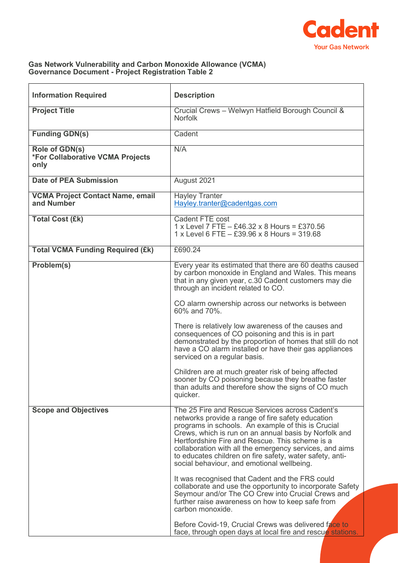

### **Gas Network Vulnerability and Carbon Monoxide Allowance (VCMA) Governance Document - Project Registration Table 2**

| <b>Information Required</b>                                | <b>Description</b>                                                                                                                                                                                                                                                                                                                                                                                                                          |  |
|------------------------------------------------------------|---------------------------------------------------------------------------------------------------------------------------------------------------------------------------------------------------------------------------------------------------------------------------------------------------------------------------------------------------------------------------------------------------------------------------------------------|--|
| <b>Project Title</b>                                       | Crucial Crews - Welwyn Hatfield Borough Council &<br><b>Norfolk</b>                                                                                                                                                                                                                                                                                                                                                                         |  |
| <b>Funding GDN(s)</b>                                      | Cadent                                                                                                                                                                                                                                                                                                                                                                                                                                      |  |
| Role of GDN(s)<br>*For Collaborative VCMA Projects<br>only | N/A                                                                                                                                                                                                                                                                                                                                                                                                                                         |  |
| <b>Date of PEA Submission</b>                              | August 2021                                                                                                                                                                                                                                                                                                                                                                                                                                 |  |
| <b>VCMA Project Contact Name, email</b><br>and Number      | <b>Hayley Tranter</b><br>Hayley.tranter@cadentgas.com                                                                                                                                                                                                                                                                                                                                                                                       |  |
| <b>Total Cost (£k)</b>                                     | Cadent FTE cost<br>1 x Level 7 FTE - £46.32 x 8 Hours = £370.56<br>$1 x$ Level 6 FTE $-$ £39.96 x 8 Hours = 319.68                                                                                                                                                                                                                                                                                                                          |  |
| <b>Total VCMA Funding Required (£k)</b>                    | £690.24                                                                                                                                                                                                                                                                                                                                                                                                                                     |  |
| Problem(s)                                                 | Every year its estimated that there are 60 deaths caused<br>by carbon monoxide in England and Wales. This means<br>that in any given year, c.30 Cadent customers may die<br>through an incident related to CO.                                                                                                                                                                                                                              |  |
|                                                            | CO alarm ownership across our networks is between<br>60% and 70%.                                                                                                                                                                                                                                                                                                                                                                           |  |
|                                                            | There is relatively low awareness of the causes and<br>consequences of CO poisoning and this is in part<br>demonstrated by the proportion of homes that still do not<br>have a CO alarm installed or have their gas appliances<br>serviced on a regular basis.                                                                                                                                                                              |  |
|                                                            | Children are at much greater risk of being affected<br>sooner by CO poisoning because they breathe faster<br>than adults and therefore show the signs of CO much<br>quicker.                                                                                                                                                                                                                                                                |  |
| <b>Scope and Objectives</b>                                | The 25 Fire and Rescue Services across Cadent's<br>networks provide a range of fire safety education<br>programs in schools. An example of this is Crucial<br>Crews, which is run on an annual basis by Norfolk and<br>Hertfordshire Fire and Rescue. This scheme is a<br>collaboration with all the emergency services, and aims<br>to educates children on fire safety, water safety, anti-<br>social behaviour, and emotional wellbeing. |  |
|                                                            | It was recognised that Cadent and the FRS could<br>collaborate and use the opportunity to incorporate Safety<br>Seymour and/or The CO Crew into Crucial Crews and<br>further raise awareness on how to keep safe from<br>carbon monoxide.                                                                                                                                                                                                   |  |
|                                                            | Before Covid-19, Crucial Crews was delivered face to<br>face, through open days at local fire and rescue stations.                                                                                                                                                                                                                                                                                                                          |  |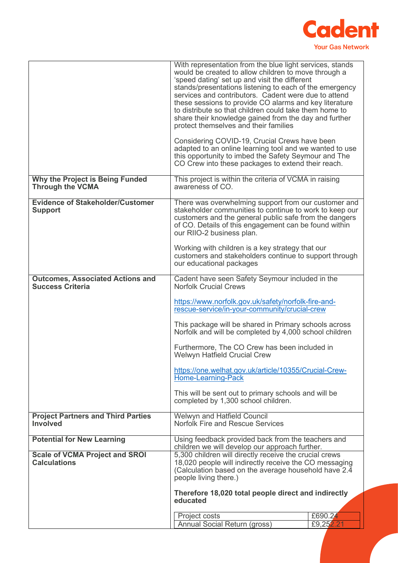

|                                                                    | With representation from the blue light services, stands<br>would be created to allow children to move through a                                                                                                                                                                                                                                                                       |           |
|--------------------------------------------------------------------|----------------------------------------------------------------------------------------------------------------------------------------------------------------------------------------------------------------------------------------------------------------------------------------------------------------------------------------------------------------------------------------|-----------|
|                                                                    | 'speed dating' set up and visit the different<br>stands/presentations listening to each of the emergency<br>services and contributors. Cadent were due to attend<br>these sessions to provide CO alarms and key literature<br>to distribute so that children could take them home to<br>share their knowledge gained from the day and further<br>protect themselves and their families |           |
|                                                                    | Considering COVID-19, Crucial Crews have been<br>adapted to an online learning tool and we wanted to use<br>this opportunity to imbed the Safety Seymour and The<br>CO Crew into these packages to extend their reach.                                                                                                                                                                 |           |
| Why the Project is Being Funded<br><b>Through the VCMA</b>         | This project is within the criteria of VCMA in raising<br>awareness of CO.                                                                                                                                                                                                                                                                                                             |           |
| <b>Evidence of Stakeholder/Customer</b><br><b>Support</b>          | There was overwhelming support from our customer and<br>stakeholder communities to continue to work to keep our<br>customers and the general public safe from the dangers<br>of CO. Details of this engagement can be found within<br>our RIIO-2 business plan.                                                                                                                        |           |
|                                                                    | Working with children is a key strategy that our<br>customers and stakeholders continue to support through<br>our educational packages                                                                                                                                                                                                                                                 |           |
| <b>Outcomes, Associated Actions and</b><br><b>Success Criteria</b> | Cadent have seen Safety Seymour included in the<br><b>Norfolk Crucial Crews</b>                                                                                                                                                                                                                                                                                                        |           |
|                                                                    | https://www.norfolk.gov.uk/safety/norfolk-fire-and-<br>rescue-service/in-your-community/crucial-crew                                                                                                                                                                                                                                                                                   |           |
|                                                                    | This package will be shared in Primary schools across<br>Norfolk and will be completed by 4,000 school children                                                                                                                                                                                                                                                                        |           |
|                                                                    | Furthermore, The CO Crew has been included in<br><b>Welwyn Hatfield Crucial Crew</b>                                                                                                                                                                                                                                                                                                   |           |
|                                                                    | https://one.welhat.gov.uk/article/10355/Crucial-Crew-<br><b>Home-Learning-Pack</b>                                                                                                                                                                                                                                                                                                     |           |
|                                                                    | This will be sent out to primary schools and will be<br>completed by 1,300 school children.                                                                                                                                                                                                                                                                                            |           |
| <b>Project Partners and Third Parties</b><br><b>Involved</b>       | <b>Welwyn and Hatfield Council</b><br><b>Norfolk Fire and Rescue Services</b>                                                                                                                                                                                                                                                                                                          |           |
| <b>Potential for New Learning</b>                                  | Using feedback provided back from the teachers and<br>children we will develop our approach further.                                                                                                                                                                                                                                                                                   |           |
| <b>Scale of VCMA Project and SROI</b><br><b>Calculations</b>       | 5,300 children will directly receive the crucial crews<br>18,020 people will indirectly receive the CO messaging<br>(Calculation based on the average household have 2.4<br>people living there.)                                                                                                                                                                                      |           |
|                                                                    | Therefore 18,020 total people direct and indirectly<br>educated                                                                                                                                                                                                                                                                                                                        |           |
|                                                                    | Project costs                                                                                                                                                                                                                                                                                                                                                                          | £690.24   |
|                                                                    | Annual Social Return (gross)                                                                                                                                                                                                                                                                                                                                                           | £9,252.21 |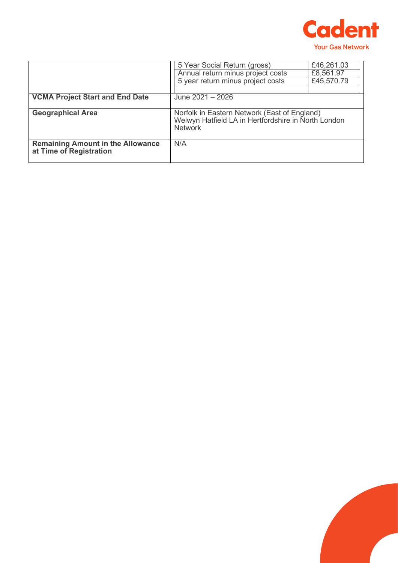

|                                                                     | 5 Year Social Return (gross)<br>Annual return minus project costs<br>5 year return minus project costs                | £46,261.03<br>£8,561.97<br>£45,570.79 |
|---------------------------------------------------------------------|-----------------------------------------------------------------------------------------------------------------------|---------------------------------------|
| <b>VCMA Project Start and End Date</b>                              | June 2021 - 2026                                                                                                      |                                       |
| <b>Geographical Area</b>                                            | Norfolk in Eastern Network (East of England)<br>Welwyn Hatfield LA in Hertfordshire in North London<br><b>Network</b> |                                       |
| <b>Remaining Amount in the Allowance</b><br>at Time of Registration | N/A                                                                                                                   |                                       |